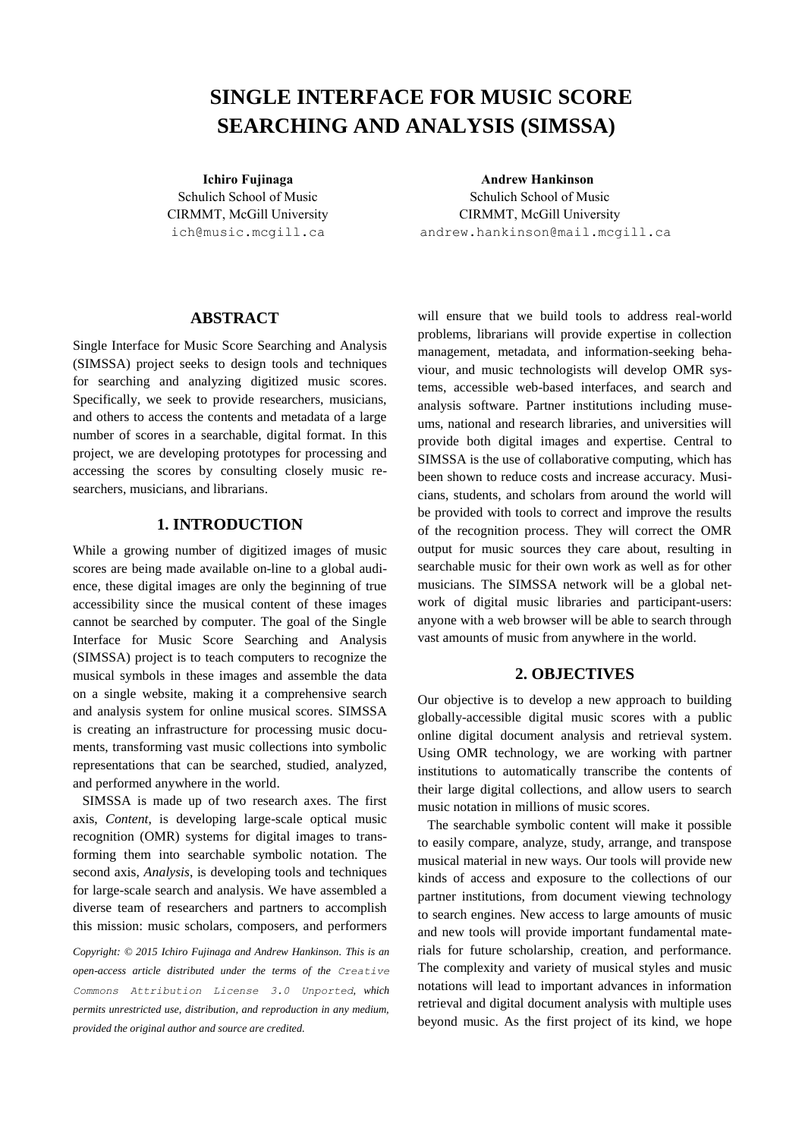# **SINGLE INTERFACE FOR MUSIC SCORE SEARCHING AND ANALYSIS (SIMSSA)**

Schulich School of Music CIRMMT, McGill University ich@music.mcgill.ca

**Ichiro Fujinaga Andrew Hankinson** Schulich School of Music CIRMMT, McGill University andrew.hankinson@mail.mcgill.ca

## **ABSTRACT**

Single Interface for Music Score Searching and Analysis (SIMSSA) project seeks to design tools and techniques for searching and analyzing digitized music scores. Specifically, we seek to provide researchers, musicians, and others to access the contents and metadata of a large number of scores in a searchable, digital format. In this project, we are developing prototypes for processing and accessing the scores by consulting closely music researchers, musicians, and librarians.

# **1. INTRODUCTION**

While a growing number of digitized images of music scores are being made available on-line to a global audience, these digital images are only the beginning of true accessibility since the musical content of these images cannot be searched by computer. The goal of the Single Interface for Music Score Searching and Analysis (SIMSSA) project is to teach computers to recognize the musical symbols in these images and assemble the data on a single website, making it a comprehensive search and analysis system for online musical scores. SIMSSA is creating an infrastructure for processing music documents, transforming vast music collections into symbolic representations that can be searched, studied, analyzed, and performed anywhere in the world.

SIMSSA is made up of two research axes. The first axis, *Content*, is developing large-scale optical music recognition (OMR) systems for digital images to transforming them into searchable symbolic notation. The second axis, *Analysis*, is developing tools and techniques for large-scale search and analysis. We have assembled a diverse team of researchers and partners to accomplish this mission: music scholars, composers, and performers

*Copyright: © 2015 Ichiro Fujinaga and Andrew Hankinson. This is an open-access article distributed under the terms of the [Creative](http://creativecommons.org/licenses/by/3.0/)  [Commons Attribution License 3.0 Unported](http://creativecommons.org/licenses/by/3.0/), which permits unrestricted use, distribution, and reproduction in any medium, provided the original author and source are credited.*

will ensure that we build tools to address real-world problems, librarians will provide expertise in collection management, metadata, and information-seeking behaviour, and music technologists will develop OMR systems, accessible web-based interfaces, and search and analysis software. Partner institutions including museums, national and research libraries, and universities will provide both digital images and expertise. Central to SIMSSA is the use of collaborative computing, which has been shown to reduce costs and increase accuracy. Musicians, students, and scholars from around the world will be provided with tools to correct and improve the results of the recognition process. They will correct the OMR output for music sources they care about, resulting in searchable music for their own work as well as for other musicians. The SIMSSA network will be a global network of digital music libraries and participant-users: anyone with a web browser will be able to search through vast amounts of music from anywhere in the world.

## **2. OBJECTIVES**

Our objective is to develop a new approach to building globally-accessible digital music scores with a public online digital document analysis and retrieval system. Using OMR technology, we are working with partner institutions to automatically transcribe the contents of their large digital collections, and allow users to search music notation in millions of music scores.

The searchable symbolic content will make it possible to easily compare, analyze, study, arrange, and transpose musical material in new ways. Our tools will provide new kinds of access and exposure to the collections of our partner institutions, from document viewing technology to search engines. New access to large amounts of music and new tools will provide important fundamental materials for future scholarship, creation, and performance. The complexity and variety of musical styles and music notations will lead to important advances in information retrieval and digital document analysis with multiple uses beyond music. As the first project of its kind, we hope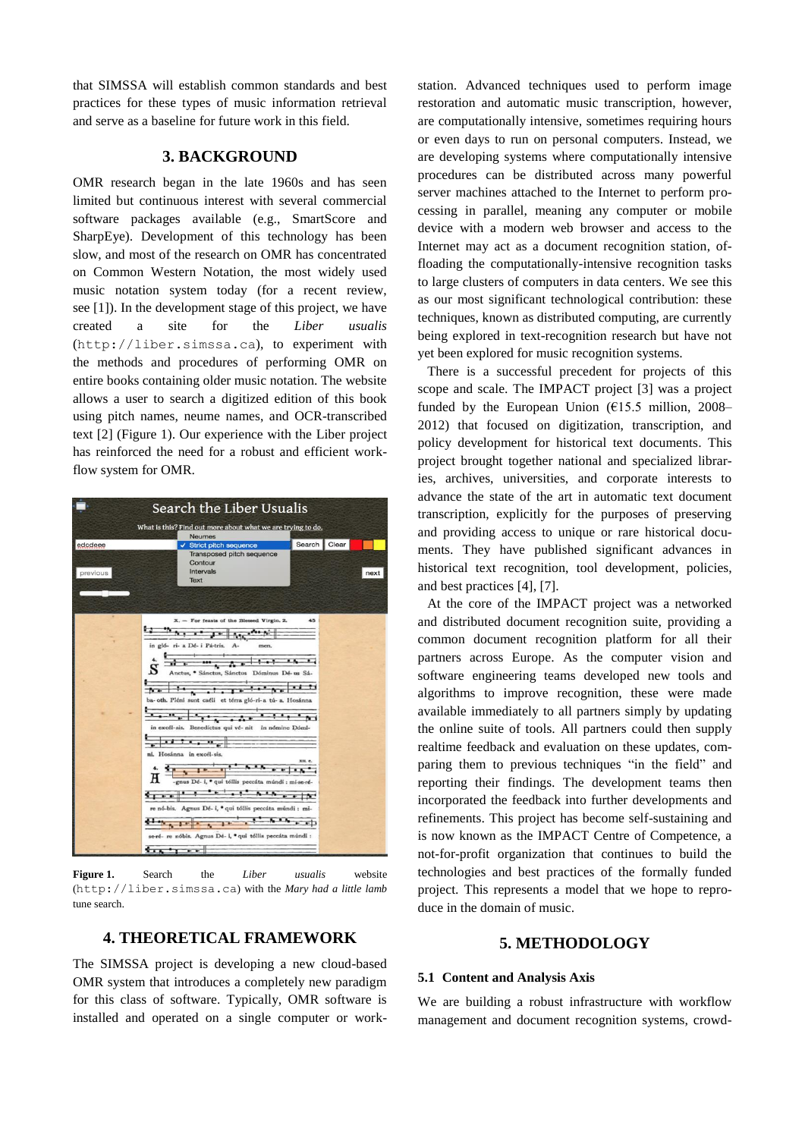that SIMSSA will establish common standards and best practices for these types of music information retrieval and serve as a baseline for future work in this field.

# **3. BACKGROUND**

OMR research began in the late 1960s and has seen limited but continuous interest with several commercial software packages available (e.g., SmartScore and SharpEye). Development of this technology has been slow, and most of the research on OMR has concentrated on Common Western Notation, the most widely used music notation system today (for a recent review, see [\[1\]\)](#page-5-0). In the development stage of this project, we have created a site for the *Liber usualis* ([http://liber.simssa.ca](http://liber.simssa.ca/)), to experiment with the methods and procedures of performing OMR on entire books containing older music notation. The website allows a user to search a digitized edition of this book using pitch names, neume names, and OCR-transcribed text [\[2\]](#page-5-1) (Figure 1). Our experience with the Liber project has reinforced the need for a robust and efficient workflow system for OMR.



**Figure 1.** Search the *Liber usualis* website ([http://liber.simssa.ca](http://liber.simssa.ca/)) with the *Mary had a little lamb* tune search.

# **4. THEORETICAL FRAMEWORK**

The SIMSSA project is developing a new cloud-based OMR system that introduces a completely new paradigm for this class of software. Typically, OMR software is installed and operated on a single computer or workstation. Advanced techniques used to perform image restoration and automatic music transcription, however, are computationally intensive, sometimes requiring hours or even days to run on personal computers. Instead, we are developing systems where computationally intensive procedures can be distributed across many powerful server machines attached to the Internet to perform processing in parallel, meaning any computer or mobile device with a modern web browser and access to the Internet may act as a document recognition station, offloading the computationally-intensive recognition tasks to large clusters of computers in data centers. We see this as our most significant technological contribution: these techniques, known as distributed computing, are currently being explored in text-recognition research but have not yet been explored for music recognition systems.

There is a successful precedent for projects of this scope and scale. The IMPACT project [\[3\]](#page-5-2) was a project funded by the European Union  $(E15.5 \text{ million}, 2008-$ 2012) that focused on digitization, transcription, and policy development for historical text documents. This project brought together national and specialized libraries, archives, universities, and corporate interests to advance the state of the art in automatic text document transcription, explicitly for the purposes of preserving and providing access to unique or rare historical documents. They have published significant advances in historical text recognition, tool development, policies, and best practice[s \[4\],](#page-5-3) [\[7\].](#page-5-4)

At the core of the IMPACT project was a networked and distributed document recognition suite, providing a common document recognition platform for all their partners across Europe. As the computer vision and software engineering teams developed new tools and algorithms to improve recognition, these were made available immediately to all partners simply by updating the online suite of tools. All partners could then supply realtime feedback and evaluation on these updates, comparing them to previous techniques "in the field" and reporting their findings. The development teams then incorporated the feedback into further developments and refinements. This project has become self-sustaining and is now known as the IMPACT Centre of Competence, a not-for-profit organization that continues to build the technologies and best practices of the formally funded project. This represents a model that we hope to reproduce in the domain of music.

## **5. METHODOLOGY**

#### **5.1 Content and Analysis Axis**

We are building a robust infrastructure with workflow management and document recognition systems, crowd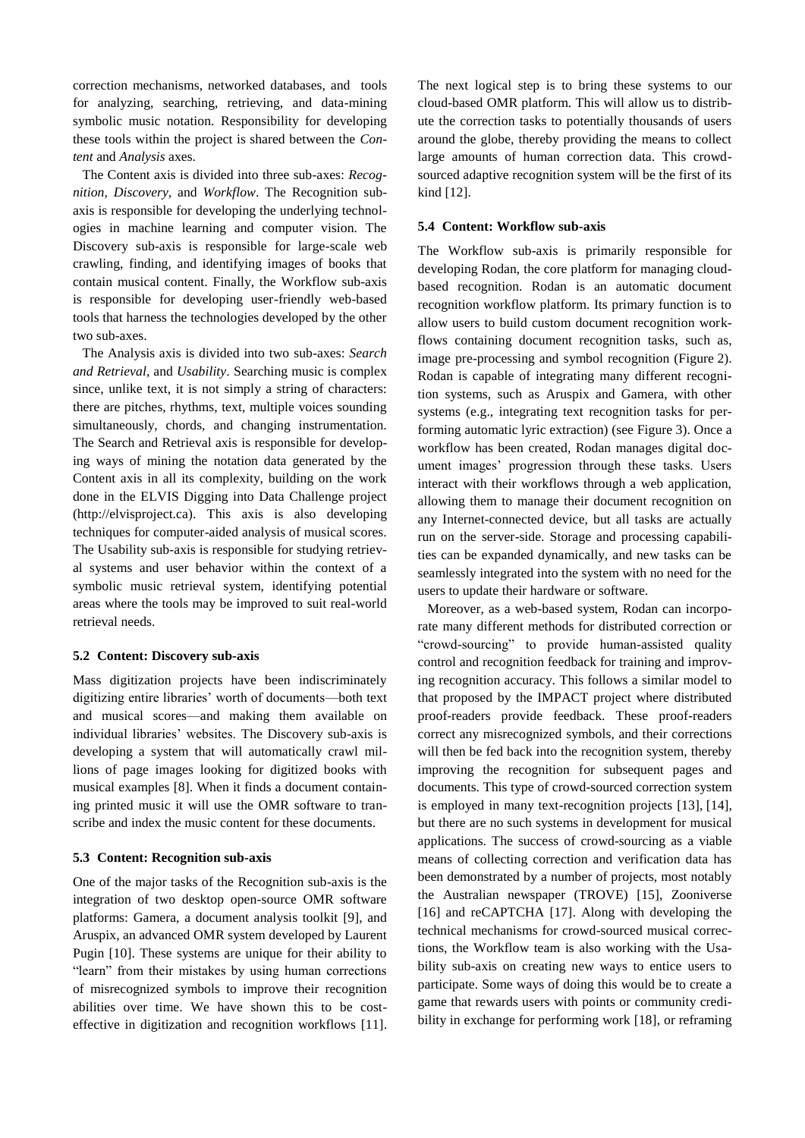correction mechanisms, networked databases, and tools for analyzing, searching, retrieving, and data-mining symbolic music notation. Responsibility for developing these tools within the project is shared between the *Content* and *Analysis* axes.

The Content axis is divided into three sub-axes: *Recognition, Discovery,* and *Workflow*. The Recognition subaxis is responsible for developing the underlying technologies in machine learning and computer vision. The Discovery sub-axis is responsible for large-scale web crawling, finding, and identifying images of books that contain musical content. Finally, the Workflow sub-axis is responsible for developing user-friendly web-based tools that harness the technologies developed by the other two sub-axes.

The Analysis axis is divided into two sub-axes: *Search and Retrieval*, and *Usability*. Searching music is complex since, unlike text, it is not simply a string of characters: there are pitches, rhythms, text, multiple voices sounding simultaneously, chords, and changing instrumentation. The Search and Retrieval axis is responsible for developing ways of mining the notation data generated by the Content axis in all its complexity, building on the work done in the ELVIS Digging into Data Challenge project (http://elvisproject.ca). This axis is also developing techniques for computer-aided analysis of musical scores. The Usability sub-axis is responsible for studying retrieval systems and user behavior within the context of a symbolic music retrieval system, identifying potential areas where the tools may be improved to suit real-world retrieval needs.

## **5.2 Content: Discovery sub-axis**

Mass digitization projects have been indiscriminately digitizing entire libraries' worth of documents—both text and musical scores—and making them available on individual libraries' websites. The Discovery sub-axis is developing a system that will automatically crawl millions of page images looking for digitized books with musical examples [\[8\].](#page-6-0) When it finds a document containing printed music it will use the OMR software to transcribe and index the music content for these documents.

#### **5.3 Content: Recognition sub-axis**

One of the major tasks of the Recognition sub-axis is the integration of two desktop open-source OMR software platforms: Gamera, a document analysis toolkit [\[9\],](#page-6-1) and Aruspix, an advanced OMR system developed by Laurent Pugin [\[10\].](#page-6-2) These systems are unique for their ability to "learn" from their mistakes by using human corrections of misrecognized symbols to improve their recognition abilities over time. We have shown this to be costeffective in digitization and recognition workflows [\[11\].](#page-6-3) The next logical step is to bring these systems to our cloud-based OMR platform. This will allow us to distribute the correction tasks to potentially thousands of users around the globe, thereby providing the means to collect large amounts of human correction data. This crowdsourced adaptive recognition system will be the first of its kind [\[12\].](#page-6-4)

#### **5.4 Content: Workflow sub-axis**

The Workflow sub-axis is primarily responsible for developing Rodan, the core platform for managing cloudbased recognition. Rodan is an automatic document recognition workflow platform. Its primary function is to allow users to build custom document recognition workflows containing document recognition tasks, such as, image pre-processing and symbol recognition (Figure 2). Rodan is capable of integrating many different recognition systems, such as Aruspix and Gamera, with other systems (e.g., integrating text recognition tasks for performing automatic lyric extraction) (see Figure 3). Once a workflow has been created, Rodan manages digital document images' progression through these tasks. Users interact with their workflows through a web application, allowing them to manage their document recognition on any Internet-connected device, but all tasks are actually run on the server-side. Storage and processing capabilities can be expanded dynamically, and new tasks can be seamlessly integrated into the system with no need for the users to update their hardware or software.

Moreover, as a web-based system, Rodan can incorporate many different methods for distributed correction or "crowd-sourcing" to provide human-assisted quality control and recognition feedback for training and improving recognition accuracy. This follows a similar model to that proposed by the IMPACT project where distributed proof-readers provide feedback. These proof-readers correct any misrecognized symbols, and their corrections will then be fed back into the recognition system, thereby improving the recognition for subsequent pages and documents. This type of crowd-sourced correction system is employed in many text-recognition projects [\[13\],](#page-6-5) [\[14\],](#page-6-6) but there are no such systems in development for musical applications. The success of crowd-sourcing as a viable means of collecting correction and verification data has been demonstrated by a number of projects, most notably the Australian newspaper (TROVE) [\[15\],](#page-6-7) Zooniverse [\[16\]](#page-6-8) and reCAPTCHA [\[17\].](#page-6-9) Along with developing the technical mechanisms for crowd-sourced musical corrections, the Workflow team is also working with the Usability sub-axis on creating new ways to entice users to participate. Some ways of doing this would be to create a game that rewards users with points or community credibility in exchange for performing work [\[18\],](#page-6-10) or reframing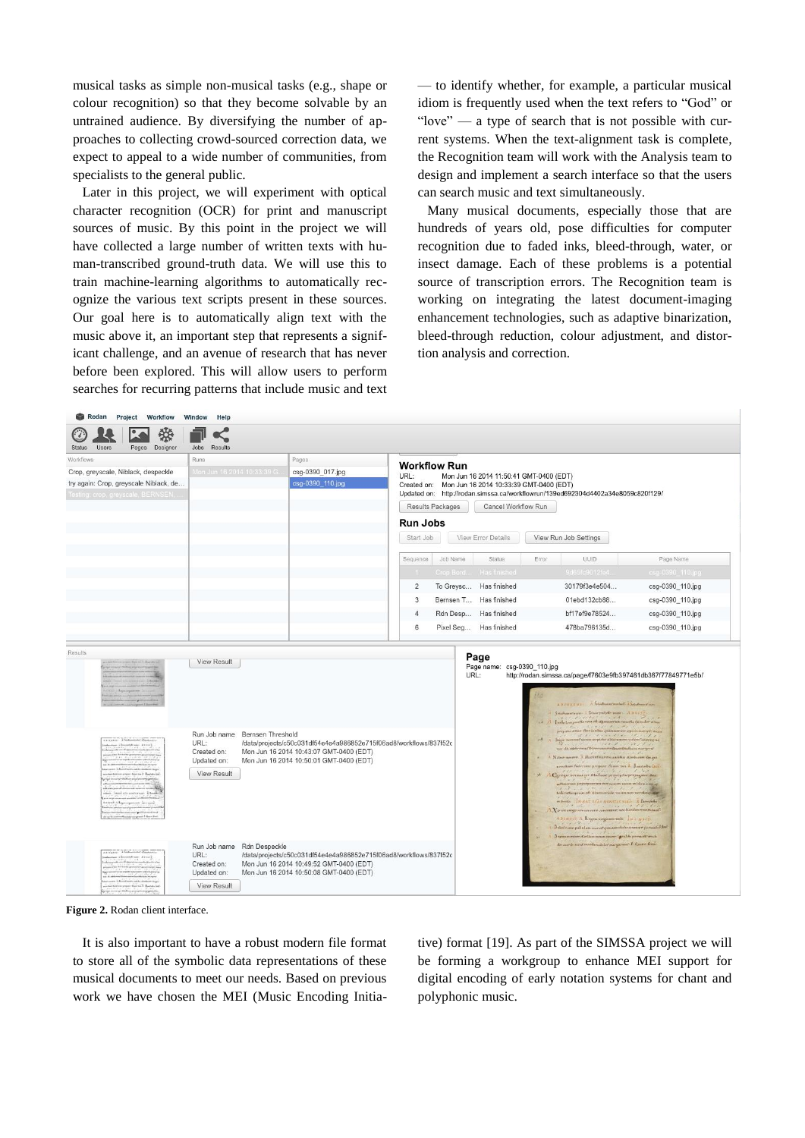musical tasks as simple non-musical tasks (e.g., shape or colour recognition) so that they become solvable by an untrained audience. By diversifying the number of approaches to collecting crowd-sourced correction data, we expect to appeal to a wide number of communities, from specialists to the general public.

Later in this project, we will experiment with optical character recognition (OCR) for print and manuscript sources of music. By this point in the project we will have collected a large number of written texts with human-transcribed ground-truth data. We will use this to train machine-learning algorithms to automatically recognize the various text scripts present in these sources. Our goal here is to automatically align text with the music above it, an important step that represents a significant challenge, and an avenue of research that has never before been explored. This will allow users to perform searches for recurring patterns that include music and text

— to identify whether, for example, a particular musical idiom is frequently used when the text refers to "God" or "love" — a type of search that is not possible with current systems. When the text-alignment task is complete, the Recognition team will work with the Analysis team to design and implement a search interface so that the users can search music and text simultaneously.

Many musical documents, especially those that are hundreds of years old, pose difficulties for computer recognition due to faded inks, bleed-through, water, or insect damage. Each of these problems is a potential source of transcription errors. The Recognition team is working on integrating the latest document-imaging enhancement technologies, such as adaptive binarization, bleed-through reduction, colour adjustment, and distortion analysis and correction.

| Rodan Project Workflow Window<br>₩<br>Designer<br><b>Status</b><br>Users<br>Pages                                                                                                         | Help<br>Results<br><b>Jobs</b>                                                                                                                                                                                                                        |                                               |                                                                                                                                                                                                                                                                                                                                             |      |                        |               |                                                                                                                                                                                                                                                                                                                                                                                                                                                                                                                                                                                                                                                                                                                                                                                                                                                                                            |                                                               |  |               |                  |          |               |
|-------------------------------------------------------------------------------------------------------------------------------------------------------------------------------------------|-------------------------------------------------------------------------------------------------------------------------------------------------------------------------------------------------------------------------------------------------------|-----------------------------------------------|---------------------------------------------------------------------------------------------------------------------------------------------------------------------------------------------------------------------------------------------------------------------------------------------------------------------------------------------|------|------------------------|---------------|--------------------------------------------------------------------------------------------------------------------------------------------------------------------------------------------------------------------------------------------------------------------------------------------------------------------------------------------------------------------------------------------------------------------------------------------------------------------------------------------------------------------------------------------------------------------------------------------------------------------------------------------------------------------------------------------------------------------------------------------------------------------------------------------------------------------------------------------------------------------------------------------|---------------------------------------------------------------|--|---------------|------------------|----------|---------------|
| Workflows<br>Crop, greyscale, Niblack, despeckle<br>try again: Crop, greyscale Niblack, de<br>Testing: crop, greyscale, BERNSEN,                                                          | Runs<br>Mon Jun 16 2014 10:33:39 G.                                                                                                                                                                                                                   | Pages<br>csg-0390_017.jpg<br>csg-0390_110.jpg | <b>Workflow Run</b><br>URL:<br>Mon Jun 16 2014 11:50:41 GMT-0400 (EDT)<br>Created on: Mon Jun 16 2014 10:33:39 GMT-0400 (EDT)<br>Updated on: http://rodan.simssa.ca/workflowrun/139ed692304d4402a34e8059c820f129/<br>Results Packages<br>Cancel Workflow Run<br><b>Run Jobs</b><br>Start Job<br>View Error Details<br>View Run Job Settings |      |                        |               |                                                                                                                                                                                                                                                                                                                                                                                                                                                                                                                                                                                                                                                                                                                                                                                                                                                                                            |                                                               |  |               |                  |          |               |
|                                                                                                                                                                                           |                                                                                                                                                                                                                                                       |                                               |                                                                                                                                                                                                                                                                                                                                             |      |                        |               |                                                                                                                                                                                                                                                                                                                                                                                                                                                                                                                                                                                                                                                                                                                                                                                                                                                                                            |                                                               |  |               |                  |          |               |
|                                                                                                                                                                                           |                                                                                                                                                                                                                                                       |                                               |                                                                                                                                                                                                                                                                                                                                             |      |                        |               |                                                                                                                                                                                                                                                                                                                                                                                                                                                                                                                                                                                                                                                                                                                                                                                                                                                                                            |                                                               |  |               | Sequence         | Job Name | <b>Status</b> |
|                                                                                                                                                                                           |                                                                                                                                                                                                                                                       |                                               |                                                                                                                                                                                                                                                                                                                                             |      |                        |               |                                                                                                                                                                                                                                                                                                                                                                                                                                                                                                                                                                                                                                                                                                                                                                                                                                                                                            | Crop Bord Has finished                                        |  | 9d65fc9012fe4 | csg-0390 110.jpg |          |               |
|                                                                                                                                                                                           |                                                                                                                                                                                                                                                       |                                               | $\overline{2}$                                                                                                                                                                                                                                                                                                                              |      | To Greysc Has finished |               | 30179f3e4e504                                                                                                                                                                                                                                                                                                                                                                                                                                                                                                                                                                                                                                                                                                                                                                                                                                                                              | csg-0390_110.jpg                                              |  |               |                  |          |               |
|                                                                                                                                                                                           |                                                                                                                                                                                                                                                       |                                               | 3                                                                                                                                                                                                                                                                                                                                           |      | Bernsen T Has finished |               | 01ebd132cb88                                                                                                                                                                                                                                                                                                                                                                                                                                                                                                                                                                                                                                                                                                                                                                                                                                                                               | csg-0390_110.jpg                                              |  |               |                  |          |               |
|                                                                                                                                                                                           |                                                                                                                                                                                                                                                       |                                               | $\Delta$                                                                                                                                                                                                                                                                                                                                    |      | Rdn Desp Has finished  |               | bf17ef9e78524                                                                                                                                                                                                                                                                                                                                                                                                                                                                                                                                                                                                                                                                                                                                                                                                                                                                              | csg-0390_110.jpg                                              |  |               |                  |          |               |
|                                                                                                                                                                                           |                                                                                                                                                                                                                                                       |                                               | 6                                                                                                                                                                                                                                                                                                                                           |      | Pixel Seg Has finished |               | 478ba796135d                                                                                                                                                                                                                                                                                                                                                                                                                                                                                                                                                                                                                                                                                                                                                                                                                                                                               | csg-0390_110.jpg                                              |  |               |                  |          |               |
| EXCEEDS A Sudmanute a Say<br>Dorethway Artif.<br><b>Greene &amp; Bushels</b><br>on bearing concernant identi-<br>sticuli a Lipcognosis Iscarri<br>with providing<br>magazine P Quart Smit | Run Job name Bernsen Threshold<br>URL:<br>/data/projects/c50c031df54e4e4a986852e715f06ad8/workflows/837f52c<br>Created on:<br>Mon Jun 16 2014 10:43:07 GMT-0400 (EDT)<br>Updated on:<br>Mon Jun 16 2014 10:50:01 GMT-0400 (EDT)<br><b>View Result</b> |                                               |                                                                                                                                                                                                                                                                                                                                             | URL: |                        | $\mathcal{M}$ | A BERREUT A Schultungsmehrt a Sekultungs von<br>Schiftsmartween : Liberary-of play week A 3 VISE-<br>the Long position vers of a precomprise execution this<br>The axis of the Links quantity of spirit survey dist<br>our vienes peptebe aldarmares virtimiratione se<br>Sy die eit by enur Birmannien Gaen Bluftan maryrst<br>Nature navers. A Marriet marshe and the combiness Grups<br>new favor faderance property filters wer A. Boardeducture<br>George scenary - studiese projective propagator and<br>um perveprerum rece sonorn enum inliben vrer er<br>telicaterquan en dine spale runn nos perting<br>monds INNAT SCALAONITIC VIAG A Domfelle<br>A Ypacus verge are commer concumur nee Menden come o dans<br>ADINUIS A Regen verguns vois Juli North<br>Distriction paladon morningummabilionnume pormosi dhad<br>Deserten minen Wertlam meam zunzur Igrachte preceientersch- | http://rodan.simssa.ca/page/f7603e9fb397461db367f77849771e5b/ |  |               |                  |          |               |
| presses. A famound of an<br>difference did not                                                                                                                                            | Run Job name Rdn Despeckle<br>URL:<br>/data/projects/c50c031df54e4e4a986852e715f06ad8/workflows/837f52c<br>Mon Jun 16 2014 10:49:52 GMT-0400 (EDT)<br>Created on:<br>Updated on:<br>Mon Jun 16 2014 10:50:08 GMT-0400 (EDT)<br><b>View Result</b>     |                                               |                                                                                                                                                                                                                                                                                                                                             |      |                        |               | der aussie mest machinabiler margarear. F. Quare from                                                                                                                                                                                                                                                                                                                                                                                                                                                                                                                                                                                                                                                                                                                                                                                                                                      |                                                               |  |               |                  |          |               |

**Figure 2.** Rodan client interface.

It is also important to have a robust modern file format to store all of the symbolic data representations of these musical documents to meet our needs. Based on previous work we have chosen the MEI (Music Encoding Initiative) format [\[19\].](#page-6-11) As part of the SIMSSA project we will be forming a workgroup to enhance MEI support for digital encoding of early notation systems for chant and polyphonic music.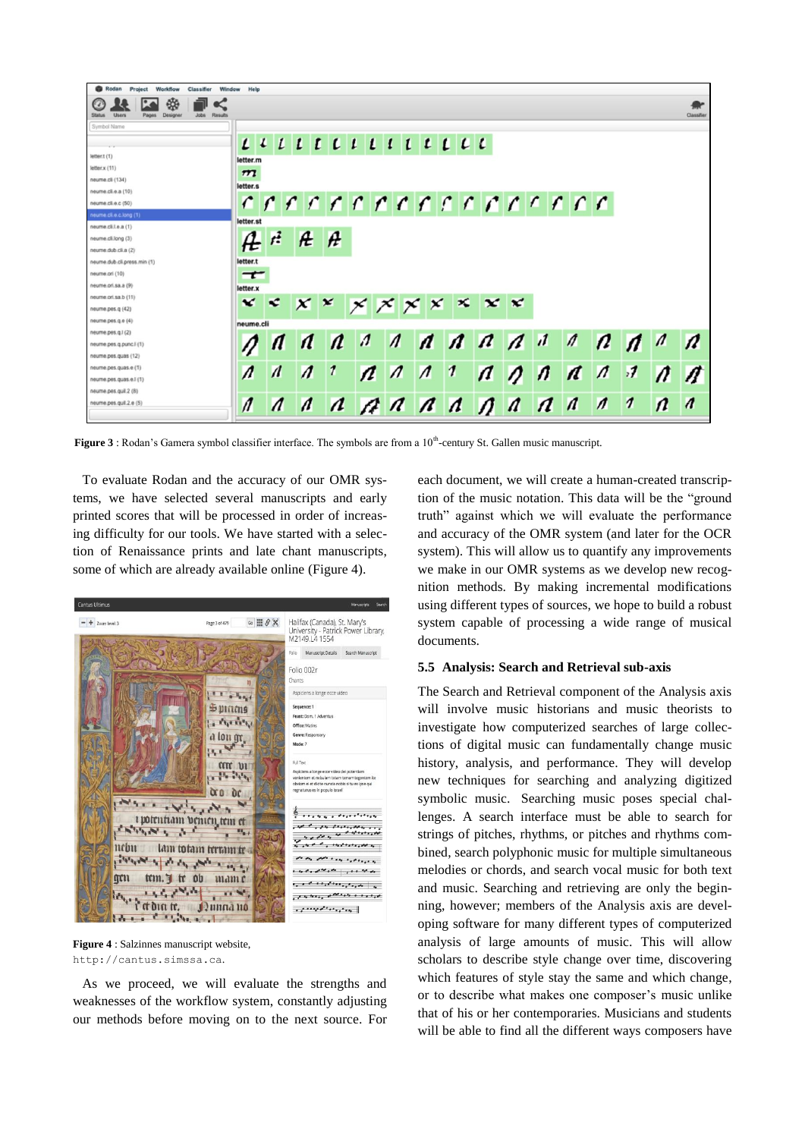

Figure 3 : Rodan's Gamera symbol classifier interface. The symbols are from a 10<sup>th</sup>-century St. Gallen music manuscript.

To evaluate Rodan and the accuracy of our OMR systems, we have selected several manuscripts and early printed scores that will be processed in order of increasing difficulty for our tools. We have started with a selection of Renaissance prints and late chant manuscripts, some of which are already available online (Figure 4).



**Figure 4** : Salzinnes manuscript website, [http://cantus.simssa.ca](http://cantus.simssa.ca/).

As we proceed, we will evaluate the strengths and weaknesses of the workflow system, constantly adjusting our methods before moving on to the next source. For each document, we will create a human-created transcription of the music notation. This data will be the "ground truth" against which we will evaluate the performance and accuracy of the OMR system (and later for the OCR system). This will allow us to quantify any improvements we make in our OMR systems as we develop new recognition methods. By making incremental modifications using different types of sources, we hope to build a robust system capable of processing a wide range of musical documents.

#### **5.5 Analysis: Search and Retrieval sub-axis**

The Search and Retrieval component of the Analysis axis will involve music historians and music theorists to investigate how computerized searches of large collections of digital music can fundamentally change music history, analysis, and performance. They will develop new techniques for searching and analyzing digitized symbolic music. Searching music poses special challenges. A search interface must be able to search for strings of pitches, rhythms, or pitches and rhythms combined, search polyphonic music for multiple simultaneous melodies or chords, and search vocal music for both text and music. Searching and retrieving are only the beginning, however; members of the Analysis axis are developing software for many different types of computerized analysis of large amounts of music. This will allow scholars to describe style change over time, discovering which features of style stay the same and which change, or to describe what makes one composer's music unlike that of his or her contemporaries. Musicians and students will be able to find all the different ways composers have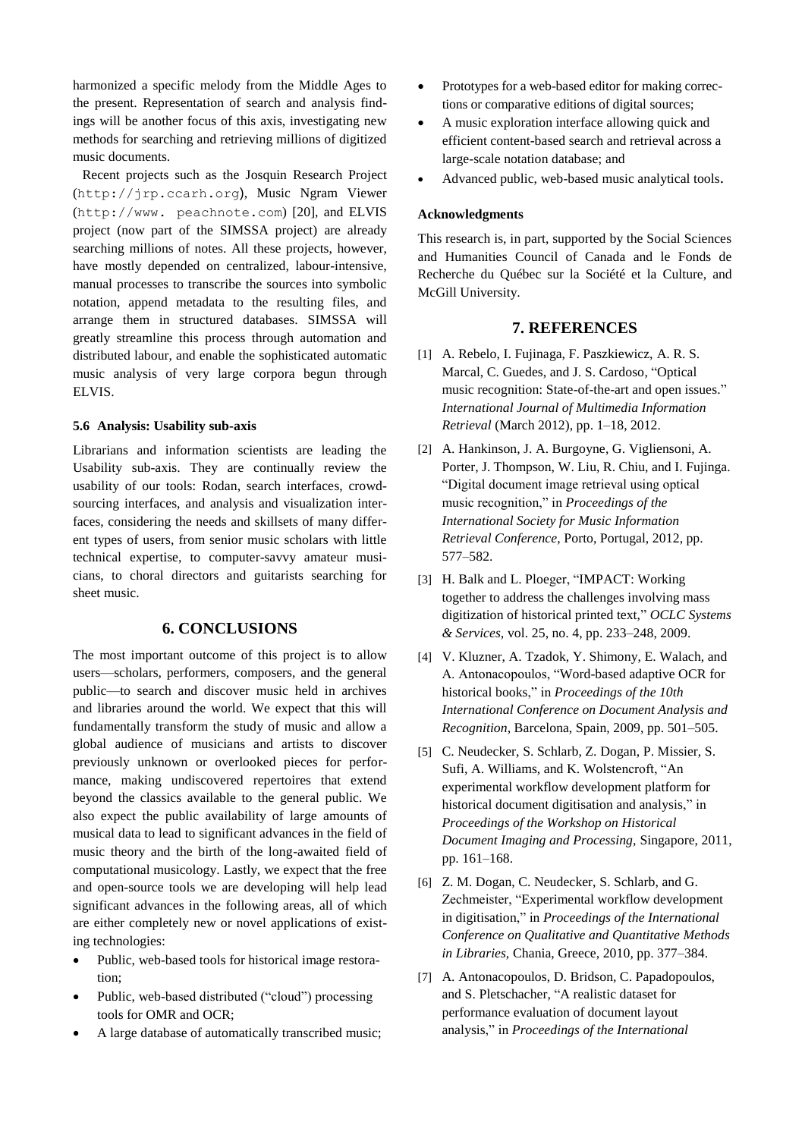harmonized a specific melody from the Middle Ages to the present. Representation of search and analysis findings will be another focus of this axis, investigating new methods for searching and retrieving millions of digitized music documents.

Recent projects such as the Josquin Research Project ([http://jrp.ccarh.org](http://jrp.ccarh.org/)), Music Ngram Viewer (http://www. peachnote.com) [\[20\],](#page-6-12) and ELVIS project (now part of the SIMSSA project) are already searching millions of notes. All these projects, however, have mostly depended on centralized, labour-intensive, manual processes to transcribe the sources into symbolic notation, append metadata to the resulting files, and arrange them in structured databases. SIMSSA will greatly streamline this process through automation and distributed labour, and enable the sophisticated automatic music analysis of very large corpora begun through ELVIS.

## **5.6 Analysis: Usability sub-axis**

Librarians and information scientists are leading the Usability sub-axis. They are continually review the usability of our tools: Rodan, search interfaces, crowdsourcing interfaces, and analysis and visualization interfaces, considering the needs and skillsets of many different types of users, from senior music scholars with little technical expertise, to computer-savvy amateur musicians, to choral directors and guitarists searching for sheet music.

## **6. CONCLUSIONS**

The most important outcome of this project is to allow users—scholars, performers, composers, and the general public—to search and discover music held in archives and libraries around the world. We expect that this will fundamentally transform the study of music and allow a global audience of musicians and artists to discover previously unknown or overlooked pieces for performance, making undiscovered repertoires that extend beyond the classics available to the general public. We also expect the public availability of large amounts of musical data to lead to significant advances in the field of music theory and the birth of the long-awaited field of computational musicology. Lastly, we expect that the free and open-source tools we are developing will help lead significant advances in the following areas, all of which are either completely new or novel applications of existing technologies:

- Public, web-based tools for historical image restoration;
- Public, web-based distributed ("cloud") processing tools for OMR and OCR;
- A large database of automatically transcribed music;
- Prototypes for a web-based editor for making corrections or comparative editions of digital sources;
- A music exploration interface allowing quick and efficient content-based search and retrieval across a large-scale notation database; and
- Advanced public, web-based music analytical tools.

## **Acknowledgments**

This research is, in part, supported by the Social Sciences and Humanities Council of Canada and le Fonds de Recherche du Québec sur la Société et la Culture, and McGill University.

#### **7. REFERENCES**

- <span id="page-5-0"></span>[1] A. Rebelo, I. Fujinaga, F. Paszkiewicz, A. R. S. Marcal, C. Guedes, and J. S. Cardoso, "Optical music recognition: State-of-the-art and open issues." *International Journal of Multimedia Information Retrieval* (March 2012), pp. 1–18, 2012.
- <span id="page-5-1"></span>[2] A. Hankinson, J. A. Burgoyne, G. Vigliensoni, A. Porter, J. Thompson, W. Liu, R. Chiu, and I. Fujinga. "Digital document image retrieval using optical music recognition," in *Proceedings of the International Society for Music Information Retrieval Conference*, Porto, Portugal, 2012, pp. 577–582.
- <span id="page-5-2"></span>[3] H. Balk and L. Ploeger, "IMPACT: Working together to address the challenges involving mass digitization of historical printed text," *OCLC Systems & Services,* vol. 25, no. 4, pp. 233–248, 2009.
- <span id="page-5-3"></span>[4] V. Kluzner, A. Tzadok, Y. Shimony, E. Walach, and A. Antonacopoulos, "Word-based adaptive OCR for historical books," in *Proceedings of the 10th International Conference on Document Analysis and Recognition,* Barcelona, Spain, 2009, pp. 501–505.
- [5] C. Neudecker, S. Schlarb, Z. Dogan, P. Missier, S. Sufi, A. Williams, and K. Wolstencroft, "An experimental workflow development platform for historical document digitisation and analysis," in *Proceedings of the Workshop on Historical Document Imaging and Processing,* Singapore, 2011, pp. 161–168.
- [6] Z. M. Dogan, C. Neudecker, S. Schlarb, and G. Zechmeister, "Experimental workflow development in digitisation," in *Proceedings of the International Conference on Qualitative and Quantitative Methods in Libraries,* Chania, Greece, 2010, pp. 377–384.
- <span id="page-5-4"></span>[7] A. Antonacopoulos, D. Bridson, C. Papadopoulos, and S. Pletschacher, "A realistic dataset for performance evaluation of document layout analysis," in *Proceedings of the International*